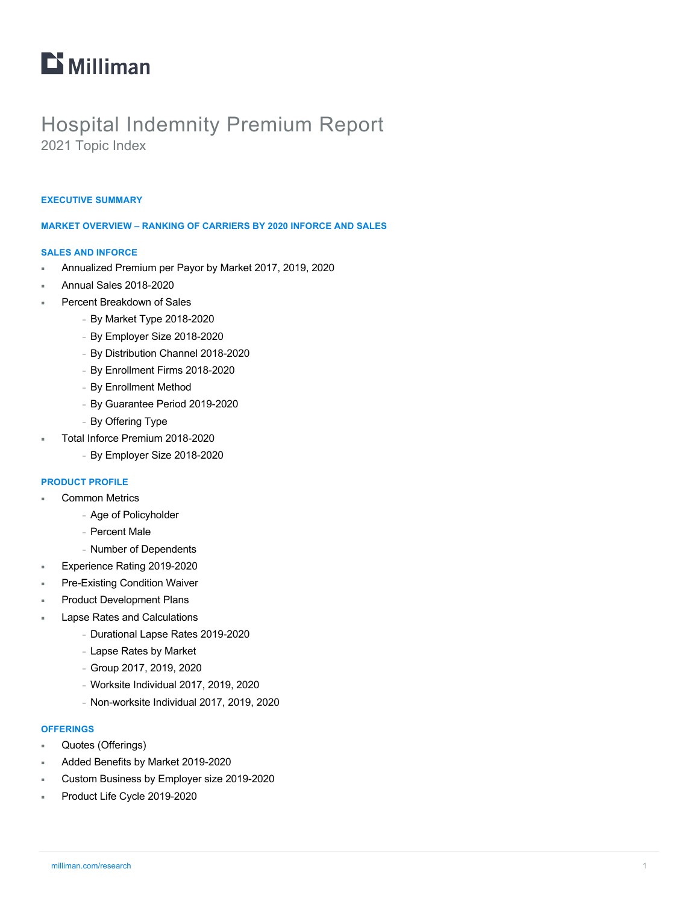# $\mathbf{D}$  Milliman

# Hospital Indemnity Premium Report 2021 Topic Index

#### **EXECUTIVE SUMMARY**

#### **MARKET OVERVIEW – RANKING OF CARRIERS BY 2020 INFORCE AND SALES**

#### **SALES AND INFORCE**

- ¡ Annualized Premium per Payor by Market 2017, 2019, 2020
- ¡ Annual Sales 2018-2020
- Percent Breakdown of Sales
	- <sup>−</sup> By Market Type 2018-2020
	- <sup>−</sup> By Employer Size 2018-2020
	- <sup>−</sup> By Distribution Channel 2018-2020
	- <sup>−</sup> By Enrollment Firms 2018-2020
	- <sup>−</sup> By Enrollment Method
	- <sup>−</sup> By Guarantee Period 2019-2020
	- <sup>−</sup> By Offering Type
- ¡ Total Inforce Premium 2018-2020
	- <sup>−</sup> By Employer Size 2018-2020

#### **PRODUCT PROFILE**

- **Common Metrics** 
	- <sup>−</sup> Age of Policyholder
	- <sup>−</sup> Percent Male
	- <sup>−</sup> Number of Dependents
- Experience Rating 2019-2020
- Pre-Existing Condition Waiver
- **Product Development Plans**
- **Lapse Rates and Calculations** 
	- <sup>−</sup> Durational Lapse Rates 2019-2020
	- <sup>−</sup> Lapse Rates by Market
	- <sup>−</sup> Group 2017, 2019, 2020
	- <sup>−</sup> Worksite Individual 2017, 2019, 2020
	- <sup>−</sup> Non-worksite Individual 2017, 2019, 2020

#### **OFFERINGS**

- Quotes (Offerings)
- Added Benefits by Market 2019-2020
- ¡ Custom Business by Employer size 2019-2020
- Product Life Cycle 2019-2020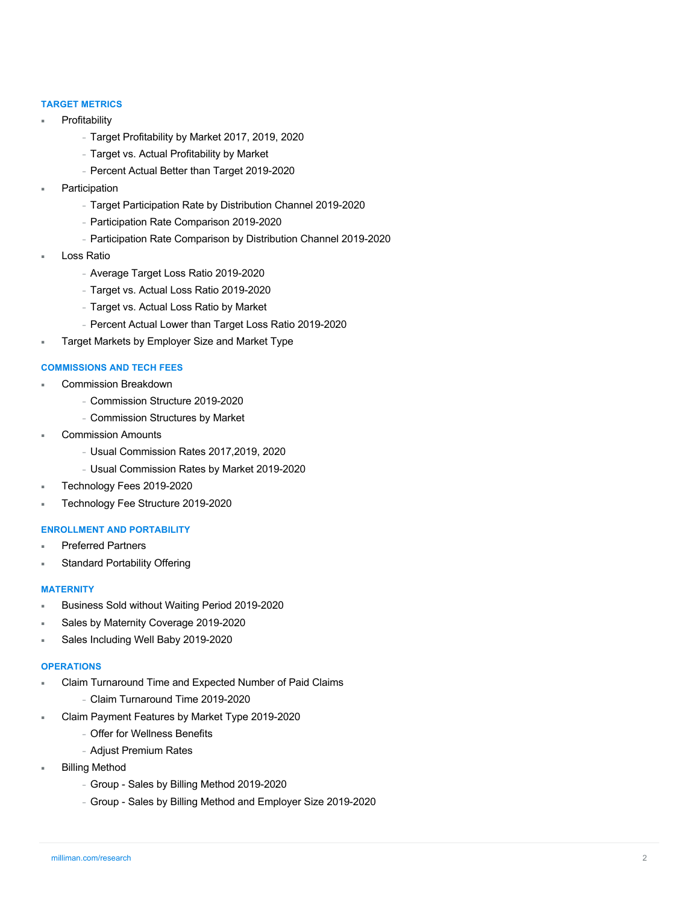## **TARGET METRICS**

- **Profitability** 
	- <sup>−</sup> Target Profitability by Market 2017, 2019, 2020
	- <sup>−</sup> Target vs. Actual Profitability by Market
	- <sup>−</sup> Percent Actual Better than Target 2019-2020
- **Participation** 
	- <sup>−</sup> Target Participation Rate by Distribution Channel 2019-2020
	- <sup>−</sup> Participation Rate Comparison 2019-2020
	- <sup>−</sup> Participation Rate Comparison by Distribution Channel 2019-2020
- **Loss Ratio** 
	- <sup>−</sup> Average Target Loss Ratio 2019-2020
	- <sup>−</sup> Target vs. Actual Loss Ratio 2019-2020
	- <sup>−</sup> Target vs. Actual Loss Ratio by Market
	- <sup>−</sup> Percent Actual Lower than Target Loss Ratio 2019-2020
- Target Markets by Employer Size and Market Type

#### **COMMISSIONS AND TECH FEES**

- Commission Breakdown
	- <sup>−</sup> Commission Structure 2019-2020
	- <sup>−</sup> Commission Structures by Market
- **Commission Amounts** 
	- <sup>−</sup> Usual Commission Rates 2017,2019, 2020
	- <sup>−</sup> Usual Commission Rates by Market 2019-2020
- Technology Fees 2019-2020
- ¡ Technology Fee Structure 2019-2020

#### **ENROLLMENT AND PORTABILITY**

- **Preferred Partners**
- Standard Portability Offering

#### **MATERNITY**

- ¡ Business Sold without Waiting Period 2019-2020
- Sales by Maternity Coverage 2019-2020
- Sales Including Well Baby 2019-2020

#### **OPERATIONS**

- Claim Turnaround Time and Expected Number of Paid Claims
	- <sup>−</sup> Claim Turnaround Time 2019-2020
- Claim Payment Features by Market Type 2019-2020
	- <sup>−</sup> Offer for Wellness Benefits
	- <sup>−</sup> Adjust Premium Rates
- **Billing Method** 
	- <sup>−</sup> Group Sales by Billing Method 2019-2020
	- <sup>−</sup> Group Sales by Billing Method and Employer Size 2019-2020